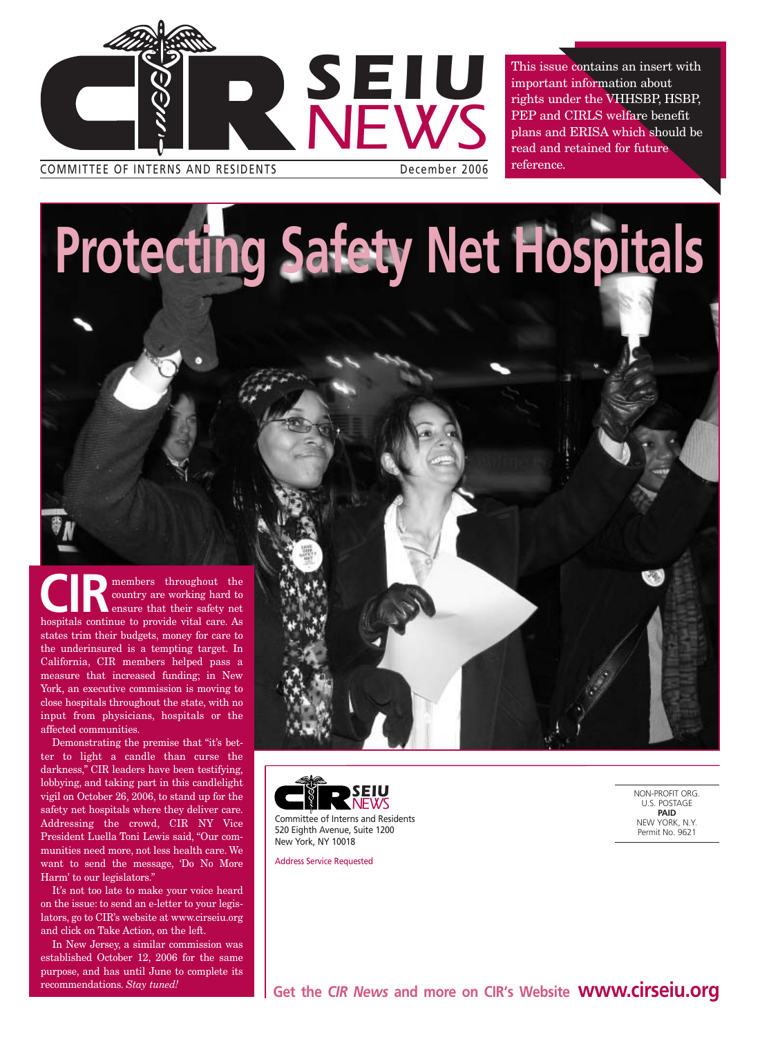

This issue contains an insert with important information about rights under the VHHSBP, HSBP, PEP and CIRLS welfare benefit plans and ERISA which should be read and retained for future reference.

COMMITTEE OF INTERNS AND RESIDENTS December 2006

# **Protecting Safety Net Hospitals**

**CIR** members throughout the country are working hard to ensure that their safety net country are working hard to ensure that their safety net hospitals continue to provide vital care. As states trim their budgets, money for care to the underinsured is a tempting target. In California, CIR members helped pass a measure that increased funding; in New York, an executive commission is moving to close hospitals throughout the state, with no input from physicians, hospitals or the affected communities.

Demonstrating the premise that "it's better to light a candle than curse the darkness," CIR leaders have been testifying, lobbying, and taking part in this candlelight vigil on October 26, 2006, to stand up for the safety net hospitals where they deliver care. Addressing the crowd, CIR NY Vice President Luella Toni Lewis said, "Our communities need more, not less health care. We want to send the message, 'Do No More Harm' to our legislators."

It's not too late to make your voice heard on the issue: to send an e-letter to your legislators, go to CIR's website at www.cirseiu.org and click on Take Action, on the left.

In New Jersey, a similar commission was established October 12, 2006 for the same purpose, and has until June to complete its recommendations. *Stay tuned!*



Committee of Interns and Residents 520 Eighth Avenue, Suite 1200 New York, NY 10018

Address Service Requested

NON-PROFIT ORG. U.S. POSTAGE **PAID** NEW YORK, N.Y. Permit No. 9621

**Get the** *CIR News* **and more on CIR's Website www.cirseiu.org**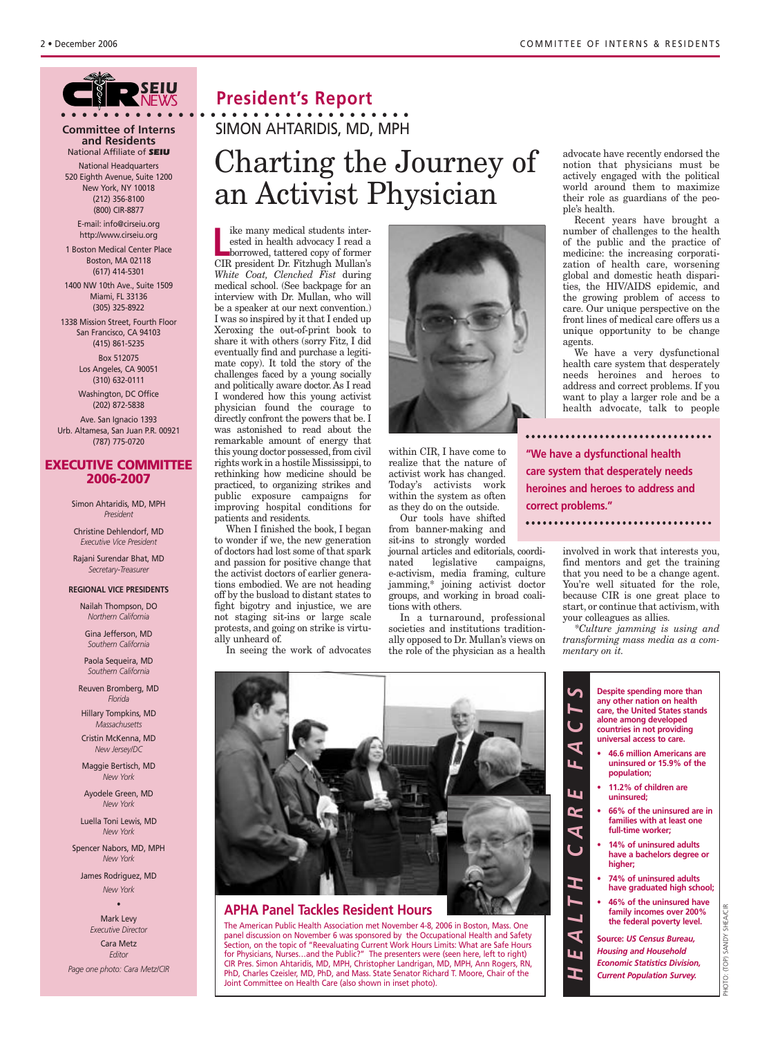

#### **Committee of Interns and Residents** National Affiliate of *SEIU*

National Headquarters 520 Eighth Avenue, Suite 1200 New York, NY 10018 (212) 356-8100 (800) CIR-8877

E-mail: info@cirseiu.org http://www.cirseiu.org

1 Boston Medical Center Place Boston, MA 02118 (617) 414-5301

1400 NW 10th Ave., Suite 1509 Miami, FL 33136 (305) 325-8922

1338 Mission Street, Fourth Floor San Francisco, CA 94103 (415) 861-5235 Box 512075

Los Angeles, CA 90051 (310) 632-0111

Washington, DC Office (202) 872-5838

Ave. San Ignacio 1393 Urb. Altamesa, San Juan P.R. 00921 (787) 775-0720

#### **EXECUTIVE COMMITTEE 2006-2007**

Simon Ahtaridis, MD, MPH *President*

Christine Dehlendorf, MD *Executive Vice President*

Rajani Surendar Bhat, MD *Secretary-Treasurer*

#### **REGIONAL VICE PRESIDENTS**

Nailah Thompson, DO *Northern California*

Gina Jefferson, MD *Southern California*

Paola Sequeira, MD *Southern California*

Reuven Bromberg, MD *Florida*

Hillary Tompkins, MD *Massachusetts*

Cristin McKenna, MD *New Jersey/DC*

Maggie Bertisch, MD *New York*

Ayodele Green, MD *New York*

Luella Toni Lewis, MD *New York*

Spencer Nabors, MD, MPH *New York*

James Rodriguez, MD *New York*

•

Mark Levy *Executive Director* Cara Metz *Editor Page one photo: Cara Metz/CIR*

### **President's Report**

**• • • • • • • • • • • • • • • • • • • • • • • • • • • • • • • • •** SIMON AHTARIDIS, MD, MPH Charting the Journey of an Activist Physician

> Ike many medical students interested in health advocacy I read a<br>
> borrowed, tattered copy of former<br>
> CIR president Dr. Fitzhugh Mullan's ike many medical students interested in health advocacy I read a borrowed, tattered copy of former *White Coat, Clenched Fist* during medical school. (See backpage for an interview with Dr. Mullan, who will be a speaker at our next convention.) I was so inspired by it that I ended up Xeroxing the out-of-print book to share it with others (sorry Fitz, I did eventually find and purchase a legitimate copy). It told the story of the challenges faced by a young socially and politically aware doctor. As I read I wondered how this young activist physician found the courage to directly confront the powers that be. I was astonished to read about the remarkable amount of energy that this young doctor possessed, from civil rights work in a hostile Mississippi, to rethinking how medicine should be practiced, to organizing strikes and public exposure campaigns for improving hospital conditions for patients and residents.

> When I finished the book, I began to wonder if we, the new generation of doctors had lost some of that spark and passion for positive change that the activist doctors of earlier generations embodied. We are not heading off by the busload to distant states to fight bigotry and injustice, we are not staging sit-ins or large scale protests, and going on strike is virtually unheard of.

In seeing the work of advocates



within CIR, I have come to realize that the nature of activist work has changed. Today's activists work within the system as often as they do on the outside.

Our tools have shifted from banner-making and sit-ins to strongly worded

journal articles and editorials, coordinated legislative campaigns, e-activism, media framing, culture jamming,\* joining activist doctor groups, and working in broad coalitions with others.

In a turnaround, professional societies and institutions traditionally opposed to Dr. Mullan's views on the role of the physician as a health advocate have recently endorsed the notion that physicians must be actively engaged with the political world around them to maximize their role as guardians of the people's health.

Recent years have brought a number of challenges to the health of the public and the practice of medicine: the increasing corporatization of health care, worsening global and domestic heath disparities, the HIV/AIDS epidemic, and the growing problem of access to care. Our unique perspective on the front lines of medical care offers us a unique opportunity to be change agents.

We have a very dysfunctional health care system that desperately needs heroines and heroes to address and correct problems. If you want to play a larger role and be a health advocate, talk to people

**"We have a dysfunctional health care system that desperately needs heroines and heroes to address and correct problems."**

involved in work that interests you, find mentors and get the training that you need to be a change agent. You're well situated for the role, because CIR is one great place to start, or continue that activism, with your colleagues as allies.

*\*Culture jamming is using and transforming mass media as a commentary on it.*

> **Despite spending more than any other nation on health care, the United States stands alone among developed countries in not providing universal access to care.**

- **• 46.6 million Americans are uninsured or 15.9% of the population;**
- **• 11.2% of children are uninsured;**
- **66% of the uninsured are in families with at least one full-time worker;**
- **• 14% of uninsured adults have a bachelors degree or higher;**
- **74% of uninsured adults have graduated high school;**
- **• 46% of the uninsured have family incomes over 200% the federal poverty level.**

**Source:** *US Census Bureau, Housing and Household Economic Statistics Division, Current Population Survey.*

*H*

*EA LTH*

*CA*

*RE*

*FA*

*CTS*



#### **APHA Panel Tackles Resident Hours**

The American Public Health Association met November 4-8, 2006 in Boston, Mass. One panel discussion on November 6 was sponsored by the Occupational Health and Safety Section, on the topic of "Reevaluating Current Work Hours Limits: What are Safe Hours for Physicians, Nurses…and the Public?" The presenters were (seen here, left to right) CIR Pres. Simon Ahtaridis, MD, MPH, Christopher Landrigan, MD, MPH, Ann Rogers, RN, PhD, Charles Czeisler, MD, PhD, and Mass. State Senator Richard T. Moore, Chair of the Joint Committee on Health Care (also shown in inset photo).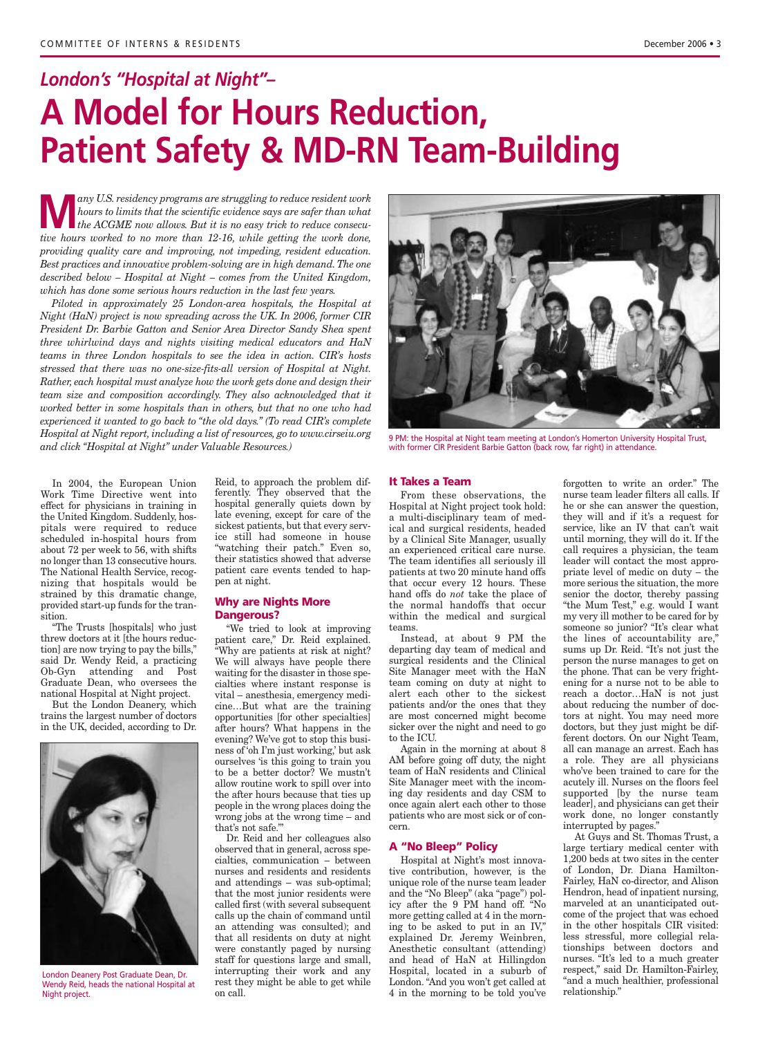### *London's "Hospital at Night"–* **A Model for Hours Reduction, Patient Safety & MD-RN Team-Building**

**M** any U.S. residency programs are struggling to reduce resident work<br>hours to limits that the scientific evidence says are safer than what<br>the ACGME now allows. But it is no easy trick to reduce consecu-<br>time hours worke *hours to limits that the scientific evidence says are safer than what the ACGME now allows. But it is no easy trick to reduce consecutive hours worked to no more than 12-16, while getting the work done, providing quality care and improving, not impeding, resident education. Best practices and innovative problem-solving are in high demand. The one described below – Hospital at Night – comes from the United Kingdom, which has done some serious hours reduction in the last few years.*

*Piloted in approximately 25 London-area hospitals, the Hospital at Night (HaN) project is now spreading across the UK. In 2006, former CIR President Dr. Barbie Gatton and Senior Area Director Sandy Shea spent three whirlwind days and nights visiting medical educators and HaN teams in three London hospitals to see the idea in action. CIR's hosts stressed that there was no one-size-fits-all version of Hospital at Night. Rather, each hospital must analyze how the work gets done and design their team size and composition accordingly. They also acknowledged that it worked better in some hospitals than in others, but that no one who had experienced it wanted to go back to "the old days." (To read CIR's complete Hospital at Night report, including a list of resources, go to www.cirseiu.org and click "Hospital at Night" under Valuable Resources.)*

In 2004, the European Union Work Time Directive went into effect for physicians in training in the United Kingdom. Suddenly, hospitals were required to reduce scheduled in-hospital hours from about 72 per week to 56, with shifts no longer than 13 consecutive hours. The National Health Service, recognizing that hospitals would be strained by this dramatic change, provided start-up funds for the transition.

"The Trusts [hospitals] who just threw doctors at it [the hours reduction] are now trying to pay the bills," said Dr. Wendy Reid, a practicing Ob-Gyn attending and Post Graduate Dean, who oversees the national Hospital at Night project.

But the London Deanery, which trains the largest number of doctors in the UK, decided, according to Dr.



London Deanery Post Graduate Dean, Dr. Wendy Reid, heads the national Hospital at Night project.

Reid, to approach the problem differently. They observed that the hospital generally quiets down by late evening, except for care of the sickest patients, but that every service still had someone in house "watching their patch." Even so, their statistics showed that adverse patient care events tended to happen at night.

#### **Why are Nights More Dangerous?**

"We tried to look at improving patient care," Dr. Reid explained. "Why are patients at risk at night? We will always have people there waiting for the disaster in those specialties where instant response is vital – anesthesia, emergency medicine…But what are the training opportunities [for other specialties] after hours? What happens in the evening? We've got to stop this business of 'oh I'm just working,' but ask ourselves 'is this going to train you to be a better doctor? We mustn't allow routine work to spill over into the after hours because that ties up people in the wrong places doing the wrong jobs at the wrong time – and that's not safe.'"

Dr. Reid and her colleagues also observed that in general, across specialties, communication – between nurses and residents and residents and attendings – was sub-optimal; that the most junior residents were called first (with several subsequent calls up the chain of command until an attending was consulted); and that all residents on duty at night were constantly paged by nursing staff for questions large and small, interrupting their work and any rest they might be able to get while on call.



9 PM: the Hospital at Night team meeting at London's Homerton University Hospital Trust, with former CIR President Barbie Gatton (back row, far right) in attendance.

#### **It Takes a Team**

From these observations, the Hospital at Night project took hold: a multi-disciplinary team of medical and surgical residents, headed by a Clinical Site Manager, usually an experienced critical care nurse. The team identifies all seriously ill patients at two 20 minute hand offs that occur every 12 hours. These hand offs do *not* take the place of the normal handoffs that occur within the medical and surgical teams.

Instead, at about 9 PM the departing day team of medical and surgical residents and the Clinical Site Manager meet with the HaN team coming on duty at night to alert each other to the sickest patients and/or the ones that they are most concerned might become sicker over the night and need to go to the ICU.

Again in the morning at about 8 AM before going off duty, the night team of HaN residents and Clinical Site Manager meet with the incoming day residents and day CSM to once again alert each other to those patients who are most sick or of concern.

#### **A "No Bleep" Policy**

Hospital at Night's most innovative contribution, however, is the unique role of the nurse team leader and the "No Bleep" (aka "page") policy after the 9 PM hand off. "No more getting called at 4 in the morning to be asked to put in an IV," explained Dr. Jeremy Weinbren, Anesthetic consultant (attending) and head of HaN at Hillingdon Hospital, located in a suburb of London. "And you won't get called at 4 in the morning to be told you've forgotten to write an order." The nurse team leader filters all calls. If he or she can answer the question, they will and if it's a request for service, like an IV that can't wait until morning, they will do it. If the call requires a physician, the team leader will contact the most appropriate level of medic on duty – the more serious the situation, the more senior the doctor, thereby passing "the Mum Test," e.g. would I want my very ill mother to be cared for by someone so junior? "It's clear what the lines of accountability are," sums up Dr. Reid. "It's not just the person the nurse manages to get on the phone. That can be very frightening for a nurse not to be able to reach a doctor…HaN is not just about reducing the number of doctors at night. You may need more doctors, but they just might be different doctors. On our Night Team, all can manage an arrest. Each has a role. They are all physicians who've been trained to care for the acutely ill. Nurses on the floors feel supported [by the nurse team leader], and physicians can get their work done, no longer constantly interrupted by pages."

At Guys and St. Thomas Trust, a large tertiary medical center with 1,200 beds at two sites in the center of London, Dr. Diana Hamilton-Fairley, HaN co-director, and Alison Hendron, head of inpatient nursing, marveled at an unanticipated outcome of the project that was echoed in the other hospitals CIR visited: less stressful, more collegial relationships between doctors and nurses. "It's led to a much greater respect," said Dr. Hamilton-Fairley, "and a much healthier, professional relationship."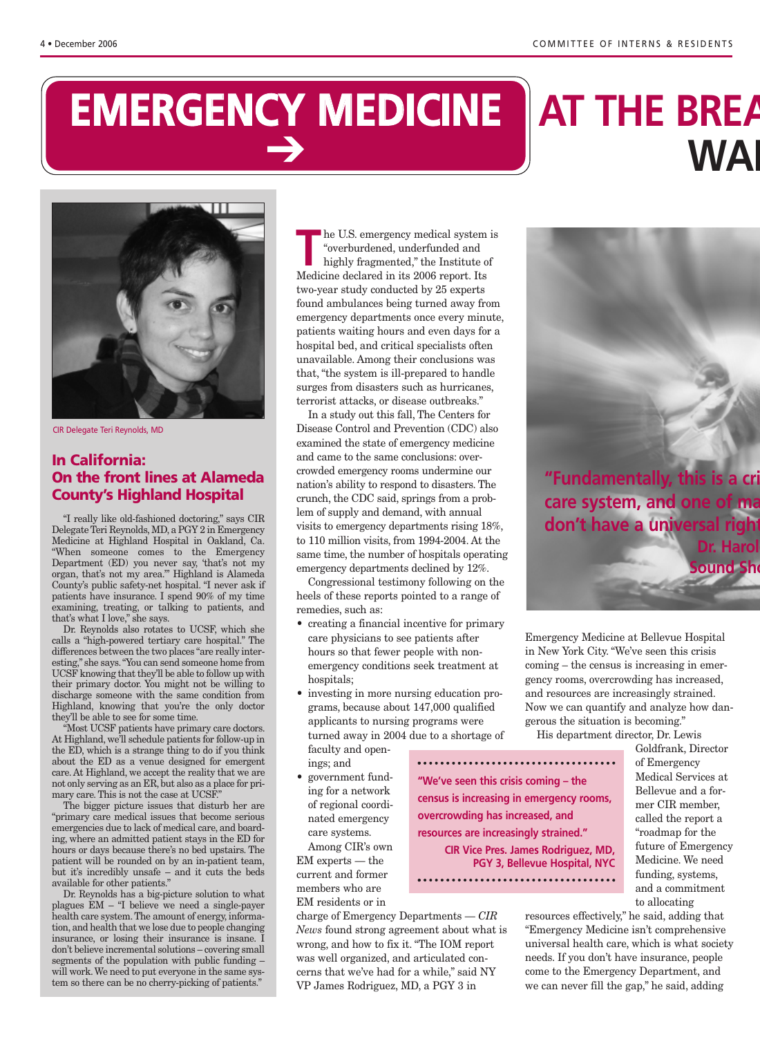## **EMERGENCY MEDICINE** ➔

## **AT THE BREAK WAI**



CIR Delegate Teri Reynolds, MD

#### **In California: On the front lines at Alameda County's Highland Hospital**

"I really like old-fashioned doctoring," says CIR Delegate Teri Reynolds, MD, a PGY 2 in Emergency Medicine at Highland Hospital in Oakland, Ca. "When someone comes to the Emergency Department (ED) you never say, 'that's not my organ, that's not my area.'" Highland is Alameda County's public safety-net hospital. "I never ask if patients have insurance. I spend 90% of my time examining, treating, or talking to patients, and that's what I love," she says.

Dr. Reynolds also rotates to UCSF, which she calls a "high-powered tertiary care hospital." The differences between the two places "are really interesting," she says."You can send someone home from UCSF knowing that they'll be able to follow up with their primary doctor. You might not be willing to discharge someone with the same condition from Highland, knowing that you're the only doctor they'll be able to see for some time.

"Most UCSF patients have primary care doctors. At Highland, we'll schedule patients for follow-up in the ED, which is a strange thing to do if you think about the ED as a venue designed for emergent care. At Highland, we accept the reality that we are not only serving as an ER, but also as a place for primary care. This is not the case at UCSF."

The bigger picture issues that disturb her are "primary care medical issues that become serious emergencies due to lack of medical care, and boarding, where an admitted patient stays in the ED for hours or days because there's no bed upstairs. The patient will be rounded on by an in-patient team, but it's incredibly unsafe – and it cuts the beds available for other patients."

Dr. Reynolds has a big-picture solution to what plagues EM – "I believe we need a single-payer health care system.The amount of energy, information, and health that we lose due to people changing insurance, or losing their insurance is insane. I don't believe incremental solutions – covering small segments of the population with public funding – will work.We need to put everyone in the same system so there can be no cherry-picking of patients."

The U.S. emergency medical system is<br>
"overburdened, underfunded and<br>
highly fragmented," the Institute of "overburdened, underfunded and highly fragmented," the Institute of Medicine declared in its 2006 report. Its two-year study conducted by 25 experts found ambulances being turned away from emergency departments once every minute, patients waiting hours and even days for a hospital bed, and critical specialists often unavailable. Among their conclusions was that, "the system is ill-prepared to handle surges from disasters such as hurricanes, terrorist attacks, or disease outbreaks."

In a study out this fall, The Centers for Disease Control and Prevention (CDC) also examined the state of emergency medicine and came to the same conclusions: overcrowded emergency rooms undermine our nation's ability to respond to disasters. The crunch, the CDC said, springs from a problem of supply and demand, with annual visits to emergency departments rising 18%, to 110 million visits, from 1994-2004. At the same time, the number of hospitals operating emergency departments declined by 12%.

Congressional testimony following on the heels of these reports pointed to a range of remedies, such as:

- creating a financial incentive for primary care physicians to see patients after hours so that fewer people with nonemergency conditions seek treatment at hospitals;
- investing in more nursing education programs, because about 147,000 qualified applicants to nursing programs were turned away in 2004 due to a shortage of faculty and open-

ings; and

• government funding for a network of regional coordinated emergency care systems.

Among CIR's own EM experts — the current and former members who are EM residents or in

charge of Emergency Departments — *CIR News* found strong agreement about what is wrong, and how to fix it. "The IOM report was well organized, and articulated concerns that we've had for a while," said NY VP James Rodriguez, MD, a PGY 3 in

**"We've seen this crisis coming – the census is increasing in emergency rooms, overcrowding has increased, and resources are increasingly strained."**

**CIR Vice Pres. James Rodriguez, MD, PGY 3, Bellevue Hospital, NYC** 

**"Fundamentally, this is a cri care system, and one of ma** don't have a universal right **Dr. Harol Sound She** 

Emergency Medicine at Bellevue Hospital in New York City. "We've seen this crisis coming – the census is increasing in emergency rooms, overcrowding has increased, and resources are increasingly strained. Now we can quantify and analyze how dangerous the situation is becoming."

His department director, Dr. Lewis

Goldfrank, Director of Emergency Medical Services at Bellevue and a former CIR member, called the report a "roadmap for the future of Emergency Medicine. We need funding, systems, and a commitment to allocating

resources effectively," he said, adding that "Emergency Medicine isn't comprehensive universal health care, which is what society needs. If you don't have insurance, people come to the Emergency Department, and we can never fill the gap," he said, adding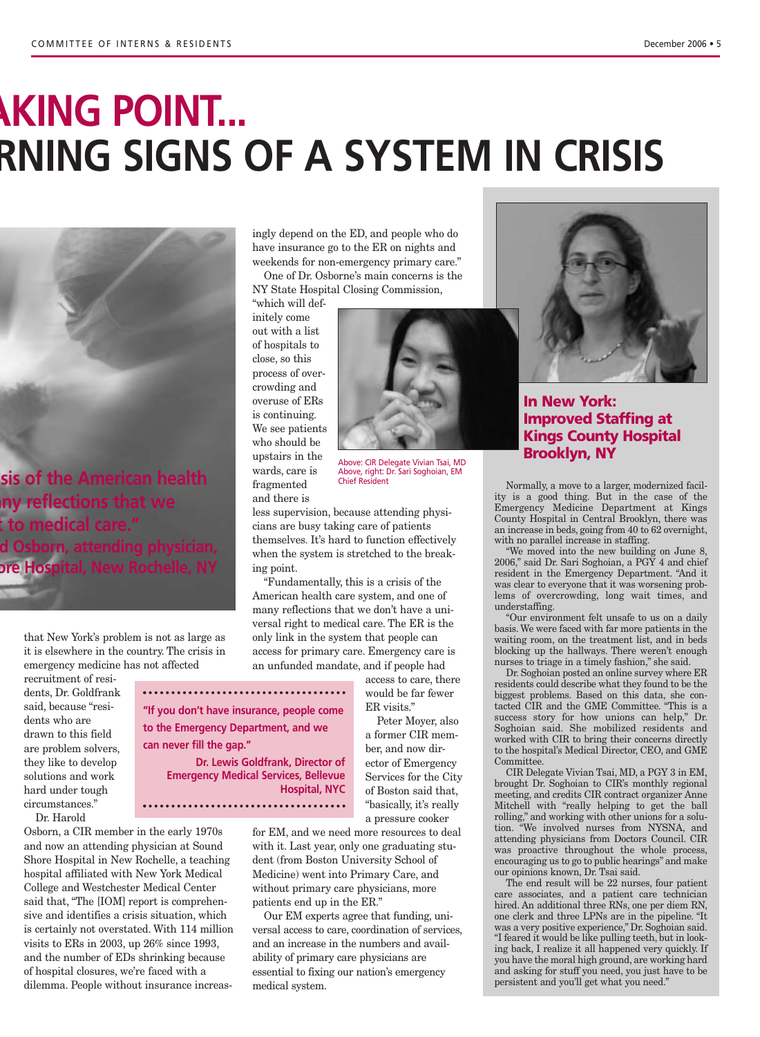## **EAKING POINT... ARNING SIGNS OF A SYSTEM IN CRISIS**



**old Osborn, attending physician, hore Hospital, New Rochelle, NY**

that New York's problem is not as large as it is elsewhere in the country. The crisis in emergency medicine has not affected

**can never fill the gap."**

**Dr. Lewis Goldfrank, Director of**

**Hospital, NYC**

**Emergency Medical Services, Bellevue**

recruitment of residents, Dr. Goldfrank said, because "residents who are drawn to this field are problem solvers, they like to develop solutions and work hard under tough circumstances."

Dr. Harold

Osborn, a CIR member in the early 1970s and now an attending physician at Sound Shore Hospital in New Rochelle, a teaching hospital affiliated with New York Medical College and Westchester Medical Center said that, "The [IOM] report is comprehensive and identifies a crisis situation, which is certainly not overstated. With 114 million visits to ERs in 2003, up 26% since 1993, and the number of EDs shrinking because of hospital closures, we're faced with a dilemma. People without insurance increasingly depend on the ED, and people who do have insurance go to the ER on nights and weekends for non-emergency primary care."

One of Dr. Osborne's main concerns is the NY State Hospital Closing Commission,

"which will definitely come out with a list of hospitals to close, so this process of overcrowding and overuse of ERs is continuing. We see patients who should be upstairs in the wards, care is fragmented and there is

less supervision, because attending physicians are busy taking care of patients themselves. It's hard to function effectively when the system is stretched to the breaking point.

"Fundamentally, this is a crisis of the American health care system, and one of many reflections that we don't have a universal right to medical care. The ER is the only link in the system that people can access for primary care. Emergency care is an unfunded mandate, and if people had

access to care, there would be far fewer ER visits." Peter Moyer, also **"If you don't have insurance, people come to the Emergency Department, and we**

a former CIR member, and now director of Emergency Services for the City of Boston said that, "basically, it's really a pressure cooker

for EM, and we need more resources to deal with it. Last year, only one graduating student (from Boston University School of Medicine) went into Primary Care, and without primary care physicians, more patients end up in the ER."

Our EM experts agree that funding, universal access to care, coordination of services, and an increase in the numbers and availability of primary care physicians are essential to fixing our nation's emergency medical system.



#### **In New York: Improved Staffing at Kings County Hospital Brooklyn, NY**

Normally, a move to a larger, modernized facility is a good thing. But in the case of the Emergency Medicine Department at Kings County Hospital in Central Brooklyn, there was an increase in beds, going from 40 to 62 overnight, with no parallel increase in staffing.

"We moved into the new building on June 8, 2006," said Dr. Sari Soghoian, a PGY 4 and chief resident in the Emergency Department. "And it was clear to everyone that it was worsening problems of overcrowding, long wait times, and understaffing.

"Our environment felt unsafe to us on a daily basis. We were faced with far more patients in the waiting room, on the treatment list, and in beds blocking up the hallways. There weren't enough nurses to triage in a timely fashion," she said.

Dr. Soghoian posted an online survey where ER residents could describe what they found to be the biggest problems. Based on this data, she contacted CIR and the GME Committee. "This is a success story for how unions can help," Dr. Soghoian said. She mobilized residents and worked with CIR to bring their concerns directly to the hospital's Medical Director, CEO, and GME Committee.

CIR Delegate Vivian Tsai, MD, a PGY 3 in EM, brought Dr. Soghoian to CIR's monthly regional meeting, and credits CIR contract organizer Anne Mitchell with "really helping to get the ball rolling," and working with other unions for a solution. "We involved nurses from NYSNA, and attending physicians from Doctors Council. CIR was proactive throughout the whole process, encouraging us to go to public hearings" and make our opinions known, Dr. Tsai said.

The end result will be 22 nurses, four patient care associates, and a patient care technician hired. An additional three RNs, one per diem RN, one clerk and three LPNs are in the pipeline. "It was a very positive experience," Dr. Soghoian said. "I feared it would be like pulling teeth, but in looking back, I realize it all happened very quickly. If you have the moral high ground, are working hard and asking for stuff you need, you just have to be persistent and you'll get what you need."

Above: CIR Delegate Vivian Tsai, MD Above, right: Dr. Sari Soghoian, EM Chief Resident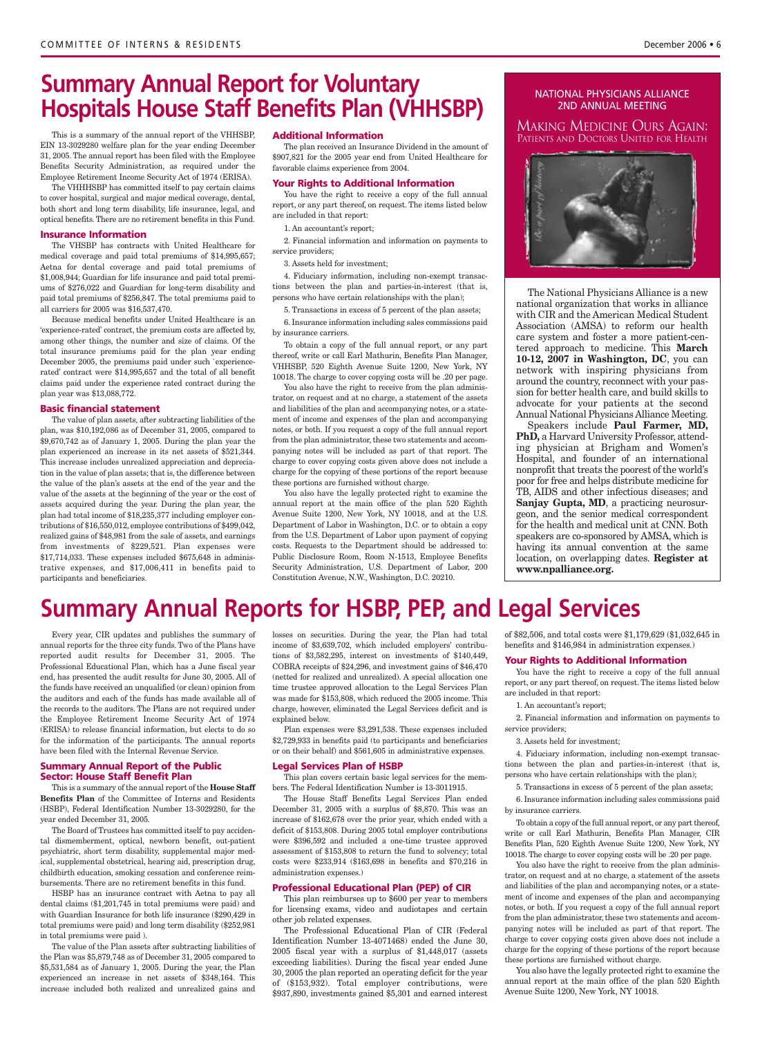### **Summary Annual Report for Voluntary Hospitals House Staff Benefits Plan (VHHSBP)**

This is a summary of the annual report of the VHHSBP, EIN 13-3029280 welfare plan for the year ending December 31, 2005. The annual report has been filed with the Employee Benefits Security Administration, as required under the Employee Retirement Income Security Act of 1974 (ERISA).

The VHHHSBP has committed itself to pay certain claims to cover hospital, surgical and major medical coverage, dental, both short and long term disability, life insurance, legal, and optical benefits. There are no retirement benefits in this Fund.

#### **Insurance Information**

The VHSBP has contracts with United Healthcare for medical coverage and paid total premiums of \$14,995,657; Aetna for dental coverage and paid total premiums of \$1,008,944; Guardian for life insurance and paid total premiums of \$276,022 and Guardian for long-term disability and paid total premiums of \$256,847. The total premiums paid to all carriers for 2005 was \$16,537,470.

Because medical benefits under United Healthcare is an 'experience-rated' contract, the premium costs are affected by, among other things, the number and size of claims. Of the total insurance premiums paid for the plan year ending December 2005, the premiums paid under such `experiencerated' contract were \$14,995,657 and the total of all benefit claims paid under the experience rated contract during the plan year was \$13,088,772.

#### **Basic financial statement**

The value of plan assets, after subtracting liabilities of the plan, was \$10,192,086 as of December 31, 2005, compared to \$9,670,742 as of January 1, 2005. During the plan year the plan experienced an increase in its net assets of \$521,344. This increase includes unrealized appreciation and depreciation in the value of plan assets; that is, the difference between the value of the plan's assets at the end of the year and the value of the assets at the beginning of the year or the cost of assets acquired during the year. During the plan year, the plan had total income of \$18,235,377 including employer contributions of \$16,550,012, employee contributions of \$499,042, realized gains of \$48,981 from the sale of assets, and earnings from investments of \$229,521. Plan expenses were \$17,714,033. These expenses included \$675,648 in administrative expenses, and \$17,006,411 in benefits paid to participants and beneficiaries.

#### **Additional Information**

The plan received an Insurance Dividend in the amount of \$907,821 for the 2005 year end from United Healthcare for favorable claims experience from 2004.

#### **Your Rights to Additional Information**

You have the right to receive a copy of the full annual report, or any part thereof, on request. The items listed below are included in that report:

1. An accountant's report;

2. Financial information and information on payments to service providers;

3. Assets held for investment;

4. Fiduciary information, including non-exempt transactions between the plan and parties-in-interest (that is, persons who have certain relationships with the plan);

5. Transactions in excess of 5 percent of the plan assets;

6. Insurance information including sales commissions paid by insurance carriers.

To obtain a copy of the full annual report, or any part thereof, write or call Earl Mathurin, Benefits Plan Manager, VHHSBP, 520 Eighth Avenue Suite 1200, New York, NY 10018. The charge to cover copying costs will be .20 per page.

You also have the right to receive from the plan administrator, on request and at no charge, a statement of the assets and liabilities of the plan and accompanying notes, or a statement of income and expenses of the plan and accompanying notes, or both. If you request a copy of the full annual report from the plan administrator, these two statements and accompanying notes will be included as part of that report. The charge to cover copying costs given above does not include a charge for the copying of these portions of the report because these portions are furnished without charge.

You also have the legally protected right to examine the annual report at the main office of the plan 520 Eighth Avenue Suite 1200, New York, NY 10018, and at the U.S. Department of Labor in Washington, D.C. or to obtain a copy from the U.S. Department of Labor upon payment of copying costs. Requests to the Department should be addressed to: Public Disclosure Room, Room N-1513, Employee Benefits Security Administration, U.S. Department of Labor, 200 Constitution Avenue, N.W., Washington, D.C. 20210.

#### NATIONAL PHYSICIANS ALLIANCE 2ND ANNUAL MEETING

MAKING MEDICINE OURS AGAIN: PATIENTS AND DOCTORS UNITED FOR HEALTH



The National Physicians Alliance is a new national organization that works in alliance with CIR and the American Medical Student Association (AMSA) to reform our health care system and foster a more patient-centered approach to medicine. This **March 10-12, 2007 in Washington, DC**, you can network with inspiring physicians from around the country, reconnect with your passion for better health care, and build skills to advocate for your patients at the second Annual National Physicians Alliance Meeting.

Speakers include **Paul Farmer, MD, PhD,** a Harvard University Professor, attending physician at Brigham and Women's Hospital, and founder of an international nonprofit that treats the poorest of the world's poor for free and helps distribute medicine for TB, AIDS and other infectious diseases; and **Sanjay Gupta, MD**, a practicing neurosurgeon, and the senior medical correspondent for the health and medical unit at CNN. Both speakers are co-sponsored by AMSA, which is having its annual convention at the same location, on overlapping dates. **Register at www.npalliance.org.**

### **Summary Annual Reports for HSBP, PEP, and Legal Services**

Every year, CIR updates and publishes the summary of annual reports for the three city funds. Two of the Plans have reported audit results for December 31, 2005. The Professional Educational Plan, which has a June fiscal year end, has presented the audit results for June 30, 2005. All of the funds have received an unqualified (or clean) opinion from the auditors and each of the funds has made available all of the records to the auditors. The Plans are not required under the Employee Retirement Income Security Act of 1974 (ERISA) to release financial information, but elects to do so for the information of the participants. The annual reports have been filed with the Internal Revenue Service.

#### **Summary Annual Report of the Public Sector: House Staff Benefit Plan**

This is a summary of the annual report of the **House Staff Benefits Plan** of the Committee of Interns and Residents (HSBP), Federal Identification Number 13-3029280, for the year ended December 31, 2005.

The Board of Trustees has committed itself to pay accidental dismemberment, optical, newborn benefit, out-patient psychiatric, short term disability, supplemental major medical, supplemental obstetrical, hearing aid, prescription drug, childbirth education, smoking cessation and conference reimbursements. There are no retirement benefits in this fund.

HSBP has an insurance contract with Aetna to pay all dental claims (\$1,201,745 in total premiums were paid) and with Guardian Insurance for both life insurance (\$290,429 in total premiums were paid) and long term disability (\$252,981 in total premiums were paid ).

The value of the Plan assets after subtracting liabilities of the Plan was \$5,879,748 as of December 31, 2005 compared to \$5,531,584 as of January 1, 2005. During the year, the Plan experienced an increase in net assets of \$348,164. This increase included both realized and unrealized gains and losses on securities. During the year, the Plan had total income of \$3,639,702, which included employers' contributions of \$3,582,295, interest on investments of \$140,449, COBRA receipts of \$24,296, and investment gains of \$46,470 (netted for realized and unrealized). A special allocation one time trustee approved allocation to the Legal Services Plan was made for \$153,808, which reduced the 2005 income. This charge, however, eliminated the Legal Services deficit and is explained below.

Plan expenses were \$3,291,538. These expenses included \$2,729,933 in benefits paid (to participants and beneficiaries or on their behalf) and \$561,605 in administrative expenses.

#### **Legal Services Plan of HSBP**

This plan covers certain basic legal services for the members. The Federal Identification Number is 13-3011915.

The House Staff Benefits Legal Services Plan ended December 31, 2005 with a surplus of \$8,870. This was an increase of \$162,678 over the prior year, which ended with a deficit of \$153,808. During 2005 total employer contributions were \$396,592 and included a one-time trustee approved assessment of \$153,808 to return the fund to solvency; total costs were \$233,914 (\$163,698 in benefits and \$70,216 in administration expenses.)

#### **Professional Educational Plan (PEP) of CIR**

This plan reimburses up to \$600 per year to members for licensing exams, video and audiotapes and certain other job related expenses.

The Professional Educational Plan of CIR (Federal Identification Number 13-4071468) ended the June 30, 2005 fiscal year with a surplus of \$1,448,017 (assets exceeding liabilities). During the fiscal year ended June 30, 2005 the plan reported an operating deficit for the year of (\$153,932). Total employer contributions, were \$937,890, investments gained \$5,301 and earned interest of \$82,506, and total costs were \$1,179,629 (\$1,032,645 in benefits and \$146,984 in administration expenses.)

#### **Your Rights to Additional Information**

You have the right to receive a copy of the full annual report, or any part thereof, on request. The items listed below are included in that report:

1. An accountant's report;

2. Financial information and information on payments to service providers;

3. Assets held for investment;

4. Fiduciary information, including non-exempt transactions between the plan and parties-in-interest (that is, persons who have certain relationships with the plan);

5. Transactions in excess of 5 percent of the plan assets;

6. Insurance information including sales commissions paid by insurance carriers.

To obtain a copy of the full annual report, or any part thereof, write or call Earl Mathurin, Benefits Plan Manager, CIR Benefits Plan, 520 Eighth Avenue Suite 1200, New York, NY 10018. The charge to cover copying costs will be .20 per page.

You also have the right to receive from the plan administrator, on request and at no charge, a statement of the assets and liabilities of the plan and accompanying notes, or a statement of income and expenses of the plan and accompanying notes, or both. If you request a copy of the full annual report from the plan administrator, these two statements and accompanying notes will be included as part of that report. The charge to cover copying costs given above does not include a charge for the copying of these portions of the report because these portions are furnished without charge.

You also have the legally protected right to examine the annual report at the main office of the plan 520 Eighth Avenue Suite 1200, New York, NY 10018.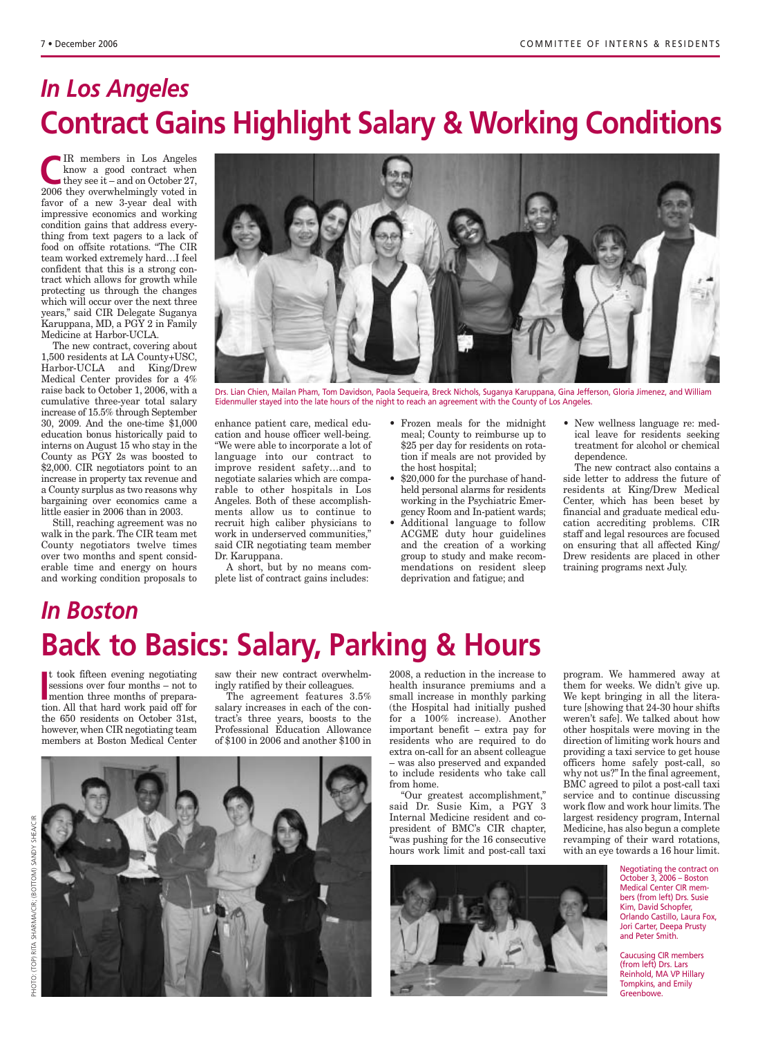### *In Los Angeles* **Contract Gains Highlight Salary & Working Conditions**

**C**IR members in Los Angeles<br>
they see it – and on October 27,<br>
2006 they everywhelmingly yoted in know a good contract when 2006 they overwhelmingly voted in favor of a new 3-year deal with impressive economics and working condition gains that address everything from text pagers to a lack of food on offsite rotations. "The CIR team worked extremely hard…I feel confident that this is a strong contract which allows for growth while protecting us through the changes which will occur over the next three years," said CIR Delegate Suganya Karuppana, MD, a PGY 2 in Family Medicine at Harbor-UCLA.

The new contract, covering about 1,500 residents at LA County+USC, Harbor-UCLA and King/Drew Medical Center provides for a 4% raise back to October 1, 2006, with a cumulative three-year total salary increase of 15.5% through September 30, 2009. And the one-time \$1,000 education bonus historically paid to interns on August 15 who stay in the County as PGY 2s was boosted to \$2,000. CIR negotiators point to an increase in property tax revenue and a County surplus as two reasons why bargaining over economics came a little easier in 2006 than in 2003.

Still, reaching agreement was no walk in the park.The CIR team met County negotiators twelve times over two months and spent considerable time and energy on hours and working condition proposals to



Drs. Lian Chien, Mailan Pham, Tom Davidson, Paola Sequeira, Breck Nichols, Suganya Karuppana, Gina Jefferson, Gloria Jimenez, and William Eidenmuller stayed into the late hours of the night to reach an agreement with the County of Los Angeles.

enhance patient care, medical education and house officer well-being. "We were able to incorporate a lot of language into our contract to improve resident safety…and to negotiate salaries which are comparable to other hospitals in Los Angeles. Both of these accomplishments allow us to continue to recruit high caliber physicians to work in underserved communities," said CIR negotiating team member Dr. Karuppana.

A short, but by no means complete list of contract gains includes:

- Frozen meals for the midnight meal; County to reimburse up to \$25 per day for residents on rotation if meals are not provided by the host hospital;
- \$20,000 for the purchase of handheld personal alarms for residents working in the Psychiatric Emergency Room and In-patient wards;
- Additional language to follow ACGME duty hour guidelines and the creation of a working group to study and make recommendations on resident sleep deprivation and fatigue; and

2008, a reduction in the increase to health insurance premiums and a small increase in monthly parking (the Hospital had initially pushed for a 100% increase). Another • New wellness language re: medical leave for residents seeking treatment for alcohol or chemical dependence.

The new contract also contains a side letter to address the future of residents at King/Drew Medical Center, which has been beset by financial and graduate medical education accrediting problems. CIR staff and legal resources are focused on ensuring that all affected King/ Drew residents are placed in other training programs next July.

## **Back to Basics: Salary, Parking & Hours**

t took fifteen evening negotiating<br>
sessions over four months – not to<br>
mention three months of prepara-<br>
tion All that hard work poid off for t took fifteen evening negotiating sessions over four months – not to tion. All that hard work paid off for the 650 residents on October 31st, however, when CIR negotiating team members at Boston Medical Center

saw their new contract overwhelmingly ratified by their colleagues.

The agreement features 3.5% salary increases in each of the contract's three years, boosts to the Professional Education Allowance of \$100 in 2006 and another \$100 in



important benefit – extra pay for residents who are required to do extra on-call for an absent colleague – was also preserved and expanded to include residents who take call from home. "Our greatest accomplishment," said Dr. Susie Kim, a PGY 3 Internal Medicine resident and copresident of BMC's CIR chapter, "was pushing for the 16 consecutive hours work limit and post-call taxi



program. We hammered away at them for weeks. We didn't give up. We kept bringing in all the literature [showing that 24-30 hour shifts weren't safe]. We talked about how other hospitals were moving in the direction of limiting work hours and providing a taxi service to get house officers home safely post-call, so why not us?" In the final agreement, BMC agreed to pilot a post-call taxi service and to continue discussing work flow and work hour limits.The largest residency program, Internal Medicine, has also begun a complete revamping of their ward rotations, with an eye towards a 16 hour limit.

Negotiating the contract on October 3, 2006 – Boston Medical Center CIR members (from left) Drs. Susie Kim, David Schopfer, Orlando Castillo, Laura Fox, Jori Carter, Deepa Prusty and Peter Smith.

Caucusing CIR members (from left) Drs. Lars Reinhold, MA VP Hillary Tompkins, and Emily Greenbowe.